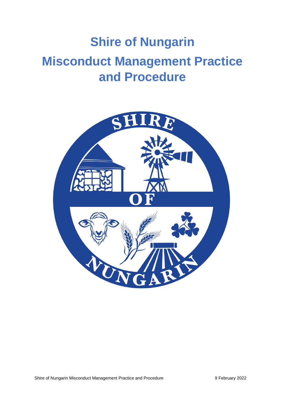# **Shire of Nungarin Misconduct Management Practice and Procedure**

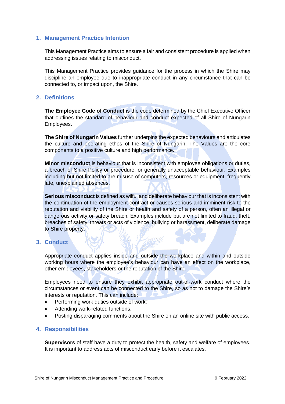# **1. Management Practice Intention**

This Management Practice aims to ensure a fair and consistent procedure is applied when addressing issues relating to misconduct.

This Management Practice provides guidance for the process in which the Shire may discipline an employee due to inappropriate conduct in any circumstance that can be connected to, or impact upon, the Shire.

# **2. Definitions**

**The Employee Code of Conduct** is the code determined by the Chief Executive Officer that outlines the standard of behaviour and conduct expected of all Shire of Nungarin Employees.

**The Shire of Nungarin Values** further underpins the expected behaviours and articulates the culture and operating ethos of the Shire of Nungarin. The Values are the core components to a positive culture and high performance.

**Minor misconduct** is behaviour that is inconsistent with employee obligations or duties, a breach of Shire Policy or procedure, or generally unacceptable behaviour. Examples including but not limited to are misuse of computers, resources or equipment, frequently late, unexplained absences.

**Serious misconduct** is defined as wilful and deliberate behaviour that is inconsistent with the continuation of the employment contract or causes serious and imminent risk to the reputation and viability of the Shire or health and safety of a person, often an illegal or dangerous activity or safety breach. Examples include but are not limited to fraud, theft, breaches of safety, threats or acts of violence, bullying or harassment, deliberate damage to Shire property.

#### **3. Conduct**

Appropriate conduct applies inside and outside the workplace and within and outside working hours where the employee's behaviour can have an effect on the workplace, other employees, stakeholders or the reputation of the Shire.

Employees need to ensure they exhibit appropriate out-of-work conduct where the circumstances or event can be connected to the Shire, so as not to damage the Shire's interests or reputation. This can include:

- Performing work duties outside of work.
- Attending work-related functions.
- Posting disparaging comments about the Shire on an online site with public access.

#### **4. Responsibilities**

**Supervisors** of staff have a duty to protect the health, safety and welfare of employees. It is important to address acts of misconduct early before it escalates.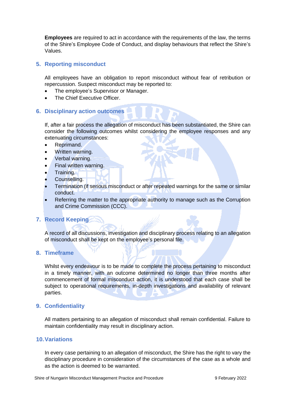**Employees** are required to act in accordance with the requirements of the law, the terms of the Shire's Employee Code of Conduct, and display behaviours that reflect the Shire's Values.

# **5. Reporting misconduct**

All employees have an obligation to report misconduct without fear of retribution or repercussion. Suspect misconduct may be reported to:

- The employee's Supervisor or Manager.
- The Chief Executive Officer.

## **6. Disciplinary action outcomes**

If, after a fair process the allegation of misconduct has been substantiated, the Shire can consider the following outcomes whilst considering the employee responses and any extenuating circumstances:

- Reprimand.
- Written warning.
- Verbal warning.
- Final written warning.
- Training.
- Counselling.
- Termination (if serious misconduct or after repeated warnings for the same or similar conduct.
- Referring the matter to the appropriate authority to manage such as the Corruption and Crime Commission (CCC).

#### **7. Record Keeping**

A record of all discussions, investigation and disciplinary process relating to an allegation of misconduct shall be kept on the employee's personal file.

#### **8. Timeframe**

Whilst every endeavour is to be made to complete the process pertaining to misconduct in a timely manner, with an outcome determined no longer than three months after commencement of formal misconduct action, it is understood that each case shall be subject to operational requirements, in-depth investigations and availability of relevant parties.

#### **9. Confidentiality**

All matters pertaining to an allegation of misconduct shall remain confidential. Failure to maintain confidentiality may result in disciplinary action.

#### **10.Variations**

In every case pertaining to an allegation of misconduct, the Shire has the right to vary the disciplinary procedure in consideration of the circumstances of the case as a whole and as the action is deemed to be warranted.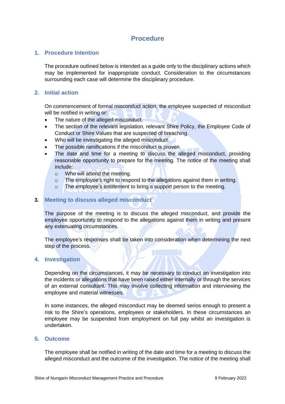# **Procedure**

## **1. Procedure Intention**

The procedure outlined below is intended as a guide only to the disciplinary actions which may be implemented for inappropriate conduct. Consideration to the circumstances surrounding each case will determine the disciplinary procedure.

# **2. Initial action**

On commencement of formal misconduct action, the employee suspected of misconduct will be notified in writing or:

- The nature of the alleged misconduct.
- The section of the relevant legislation, relevant Shire Policy, the Employee Code of Conduct or Shire Values that are suspected of breaching.
- Who will be investigating the alleged misconduct.
- The possible ramifications if the misconduct is proven.
- The date and time for a meeting to discuss the alleged misconduct, providing reasonable opportunity to prepare for the meeting. The notice of the meeting shall include:
	- o Who will attend the meeting.
	- o The employee's right to respond to the allegations against them in writing.
	- o The employee's entitlement to bring a support person to the meeting.

# **3. Meeting to discuss alleged misconduct**

The purpose of the meeting is to discuss the alleged misconduct, and provide the employee opportunity to respond to the allegations against them in writing and present any extenuating circumstances.

The employee's responses shall be taken into consideration when determining the next step of the process.

#### **4. Investigation**

Depending on the circumstances, it may be necessary to conduct an investigation into the incidents or allegations that have been raised either internally or through the services of an external consultant. This may involve collecting information and interviewing the employee and material witnesses.

In some instances, the alleged misconduct may be deemed serios enough to present a risk to the Shire's operations, employees or stakeholders. In these circumstances an employee may be suspended from employment on full pay whilst an investigation is undertaken.

#### **5. Outcome**

The employee shall be notified in writing of the date and time for a meeting to discuss the alleged misconduct and the outcome of the investigation. The notice of the meeting shall